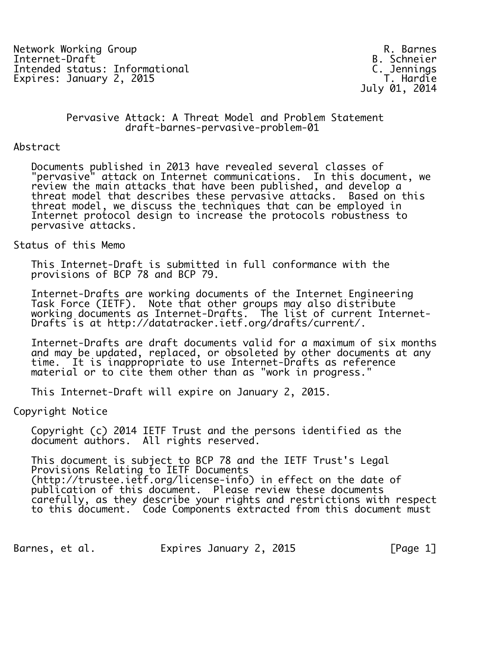Network Working Group and the set of the set of the set of the R. Barnes<br>Internet-Draft and Drama B. Schneier Intended status: Informational C. Jennings Expires: January 2, 2015

B. Schneier<br>C. Jennings July 01, 2014

#### Pervasive Attack: A Threat Model and Problem Statement draft-barnes-pervasive-problem-01

#### Abstract

 Documents published in 2013 have revealed several classes of "pervasive" attack on Internet communications. In this document, we review the main attacks that have been published, and develop a threat model that describes these pervasive attacks. Based on this threat model, we discuss the techniques that can be employed in Internet protocol design to increase the protocols robustness to pervasive attacks.

Status of this Memo

 This Internet-Draft is submitted in full conformance with the provisions of BCP 78 and BCP 79.

 Internet-Drafts are working documents of the Internet Engineering Task Force (IETF). Note that other groups may also distribute working documents as Internet-Drafts. The list of current Internet- Drafts is at http://datatracker.ietf.org/drafts/current/.

 Internet-Drafts are draft documents valid for a maximum of six months and may be updated, replaced, or obsoleted by other documents at any time. It is inappropriate to use Internet-Drafts as reference material or to cite them other than as "work in progress."

This Internet-Draft will expire on January 2, 2015.

Copyright Notice

 Copyright (c) 2014 IETF Trust and the persons identified as the document authors. All rights reserved.

 This document is subject to BCP 78 and the IETF Trust's Legal Provisions Relating to IETF Documents (http://trustee.ietf.org/license-info) in effect on the date of publication of this document. Please review these documents carefully, as they describe your rights and restrictions with respect to this document. Code Components extracted from this document must

Barnes, et al. Expires January 2, 2015 [Page 1]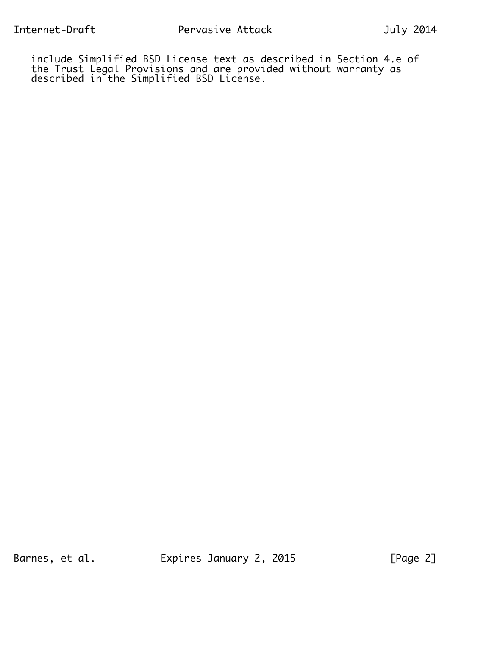include Simplified BSD License text as described in Section 4.e of the Trust Legal Provisions and are provided without warranty as described in the Simplified BSD License.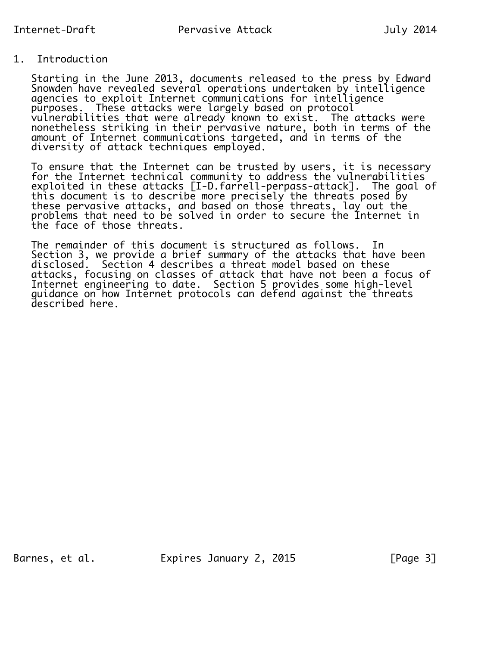## 1. Introduction

 Starting in the June 2013, documents released to the press by Edward Snowden have revealed several operations undertaken by intelligence agencies to exploit Internet communications for intelligence purposes. These attacks were largely based on protocol vulnerabilities that were already known to exist. The attacks were nonetheless striking in their pervasive nature, both in terms of the amount of Internet communications targeted, and in terms of the diversity of attack techniques employed.

 To ensure that the Internet can be trusted by users, it is necessary for the Internet technical community to address the vulnerabilities exploited in these attacks [I-D.farrell-perpass-attack]. The goal of this document is to describe more precisely the threats posed by these pervasive attacks, and based on those threats, lay out the problems that need to be solved in order to secure the Internet in the face of those threats.

 The remainder of this document is structured as follows. In Section 3, we provide a brief summary of the attacks that have been disclosed. Section 4 describes a threat model based on these attacks, focusing on classes of attack that have not been a focus of Internet engineering to date. Section 5 provides some high-level guidance on how Internet protocols can defend against the threats described here.

Barnes, et al. Expires January 2, 2015 [Page 3]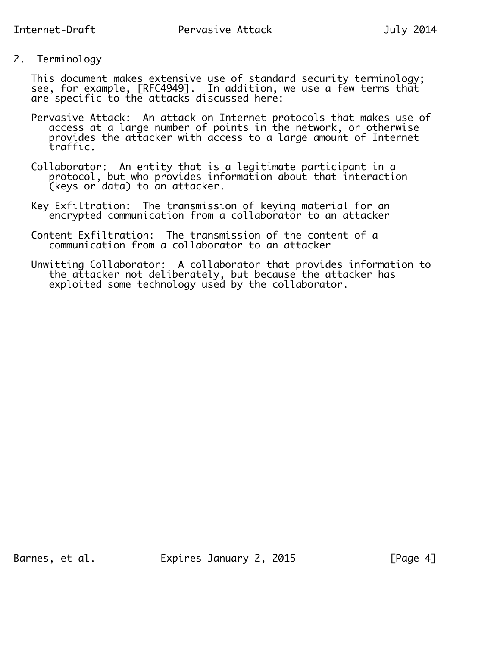2. Terminology

 This document makes extensive use of standard security terminology; see, for example, [RFC4949]. In addition, we use a few terms that are specific to the attacks discussed here:

- Pervasive Attack: An attack on Internet protocols that makes use of access at a large number of points in the network, or otherwise provides the attacker with access to a large amount of Internet traffic.
- Collaborator: An entity that is a legitimate participant in a protocol, but who provides information about that interaction (keys or data) to an attacker.
	- Key Exfiltration: The transmission of keying material for an encrypted communication from a collaborator to an attacker
- Content Exfiltration: The transmission of the content of a communication from a collaborator to an attacker
- Unwitting Collaborator: A collaborator that provides information to the attacker not deliberately, but because the attacker has exploited some technology used by the collaborator.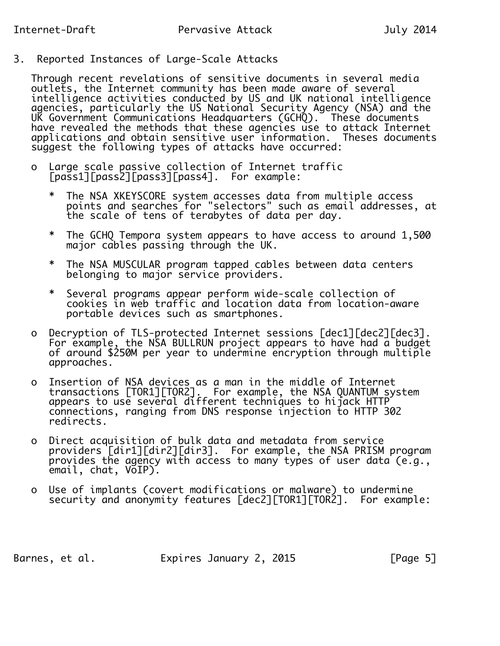3. Reported Instances of Large-Scale Attacks

 Through recent revelations of sensitive documents in several media outlets, the Internet community has been made aware of several intelligence activities conducted by US and UK national intelligence agencies, particularly the US National Security Agency (NSA) and the UK Government Communications Headquarters (GCHQ). These documents have revealed the methods that these agencies use to attack Internet applications and obtain sensitive user information. Theses documents suggest the following types of attacks have occurred:

- o Large scale passive collection of Internet traffic [pass1][pass2][pass3][pass4]. For example:
- \* The NSA XKEYSCORE system accesses data from multiple access points and searches for "selectors" such as email addresses, at the scale of tens of terabytes of data per day.
	- \* The GCHQ Tempora system appears to have access to around 1,500 major cables passing through the UK.
	- \* The NSA MUSCULAR program tapped cables between data centers belonging to major service providers.
	- \* Several programs appear perform wide-scale collection of cookies in web traffic and location data from location-aware portable devices such as smartphones.
	- o Decryption of TLS-protected Internet sessions [dec1][dec2][dec3]. For example, the NSA BULLRUN project appears to have had  $\bar{a}$  budget of around \$250M per year to undermine encryption through multiple approaches.
- o Insertion of NSA devices as a man in the middle of Internet transactions [TOR1][TOR2]. For example, the NSA QUANTUM system appears to use several different techniques to hijack HTTP connections, ranging from DNS response injection to HTTP 302 redirects.
- o Direct acquisition of bulk data and metadata from service providers [dir1][dir2][dir3]. For example, the NSA PRISM program provides the agency with access to many types of user data (e.g., email, chat, VoIP).
- o Use of implants (covert modifications or malware) to undermine security and anonymity features [dec2][TOR1][TOR2]. For example:

Barnes, et al. Expires January 2, 2015 [Page 5]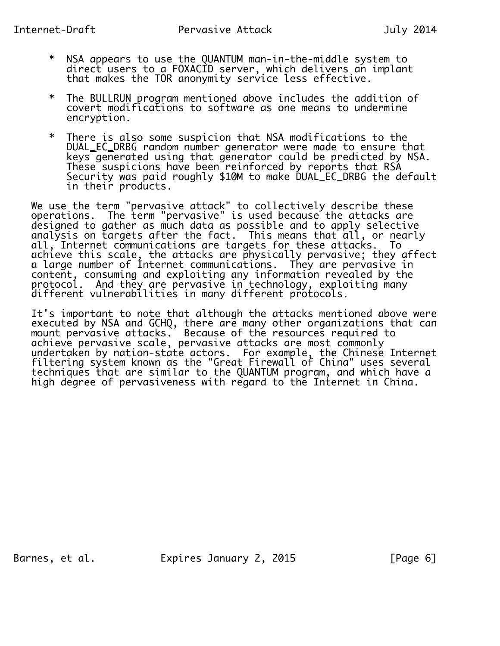- \* NSA appears to use the QUANTUM man-in-the-middle system to direct users to a FOXACID server, which delivers an implant that makes the TOR anonymity service less effective.
	- \* The BULLRUN program mentioned above includes the addition of covert modifications to software as one means to undermine encryption.
	- \* There is also some suspicion that NSA modifications to the DUAL\_EC\_DRBG random number generator were made to ensure that keys generated using that generator could be predicted by NSA. These suspicions have been reinforced by reports that RSA Security was paid roughly \$10M to make DUAL\_EC\_DRBG the default in their products.

 We use the term "pervasive attack" to collectively describe these operations. The term "pervasive" is used because the attacks are designed to gather as much data as possible and to apply selective analysis on targets after the fact. This means that all, or nearly all, Internet communications are targets for these attacks. To achieve this scale, the attacks are physically pervasive; they affect a large number of Internet communications. They are pervasive in content, consuming and exploiting any information revealed by the protocol. And they are pervasive in technology, exploiting many different vulnerabilities in many different protocols.

 It's important to note that although the attacks mentioned above were executed by NSA and GCHQ, there are many other organizations that can mount pervasive attacks. Because of the resources required to achieve pervasive scale, pervasive attacks are most commonly undertaken by nation-state actors. For example, the Chinese Internet filtering system known as the "Great Firewall of China" uses several techniques that are similar to the QUANTUM program, and which have a high degree of pervasiveness with regard to the Internet in China.

Barnes, et al. 
Expires January 2, 2015

FPage 6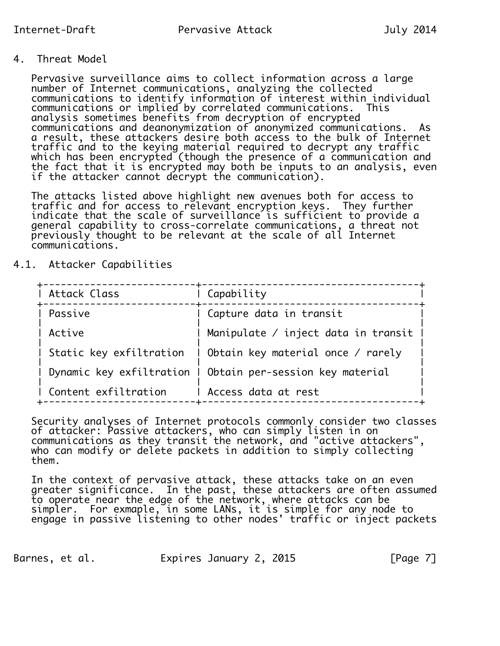4. Threat Model

 Pervasive surveillance aims to collect information across a large number of Internet communications, analyzing the collected communications to identify information of interest within individual communications or implied by correlated communications. This analysis sometimes benefits from decryption of encrypted communications and deanonymization of anonymized communications. As a result, these attackers desire both access to the bulk of Internet traffic and to the keying material required to decrypt any traffic which has been encrypted (though the presence of a communication and the fact that it is encrypted may both be inputs to an analysis, even if the attacker cannot decrypt the communication).

 The attacks listed above highlight new avenues both for access to traffic and for access to relevant encryption keys. They further indicate that the scale of surveillance is sufficient to provide a general capability to cross-correlate communications, a threat not previously thought to be relevant at the scale of all Internet communications.

4.1. Attacker Capabilities

| Attack Class            | Capability                                                 |
|-------------------------|------------------------------------------------------------|
| Passive                 | Capture data in transit                                    |
| Active                  | Manipulate / inject data in transit                        |
| Static key exfiltration | ∣ Obtain key material once / rarely                        |
|                         | Dynamic key exfiltration I Obtain per-session key material |
| Content exfiltration    | Access data at rest                                        |

 Security analyses of Internet protocols commonly consider two classes of attacker: Passive attackers, who can simply listen in on communications as they transit the network, and "active attackers", who can modify or delete packets in addition to simply collecting them.

 In the context of pervasive attack, these attacks take on an even greater significance. In the past, these attackers are often assumed to operate near the edge of the network, where attacks can be simpler. For exmaple, in some LANs, it is simple for any node to engage in passive listening to other nodes' traffic or inject packets

Barnes, et al. Expires January 2, 2015 [Page 7]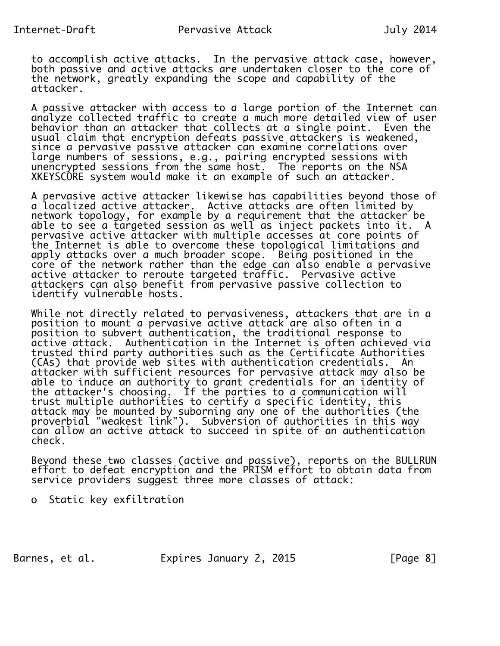to accomplish active attacks. In the pervasive attack case, however, both passive and active attacks are undertaken closer to the core of the network, greatly expanding the scope and capability of the attacker.

 A passive attacker with access to a large portion of the Internet can analyze collected traffic to create a much more detailed view of user behavior than an attacker that collects at a single point. Even the usual claim that encryption defeats passive attackers is weakened, since a pervasive passive attacker can examine correlations over large numbers of sessions, e.g., pairing encrypted sessions with unencrypted sessions from the same host. The reports on the NSA XKEYSCORE system would make it an example of such an attacker.

 A pervasive active attacker likewise has capabilities beyond those of a localized active attacker. Active attacks are often limited by network topology, for example by a requirement that the attacker be able to see a targeted session as well as inject packets into it. A pervasive active attacker with multiple accesses at core points of the Internet is able to overcome these topological limitations and apply attacks over a much broader scope. Being positioned in the core of the network rather than the edge can also enable a pervasive active attacker to reroute targeted traffic. Pervasive active attackers can also benefit from pervasive passive collection to identify vulnerable hosts.

 While not directly related to pervasiveness, attackers that are in a position to mount a pervasive active attack are also often in a position to subvert authentication, the traditional response to active attack. Authentication in the Internet is often achieved via trusted third party authorities such as the Certificate Authorities (CAs) that provide web sites with authentication credentials. An attacker with sufficient resources for pervasive attack may also be able to induce an authority to grant credentials for an identity of the attacker's choosing. If the parties to a communication will trust multiple authorities to certify a specific identity, this attack may be mounted by suborning any one of the authorities (the proverbial "weakest link"). Subversion of authorities in this way can allow an active attack to succeed in spite of an authentication check.

 Beyond these two classes (active and passive), reports on the BULLRUN effort to defeat encryption and the PRISM effort to obtain data from service providers suggest three more classes of attack:

o Static key exfiltration

Barnes, et al. Expires January 2, 2015 [Page 8]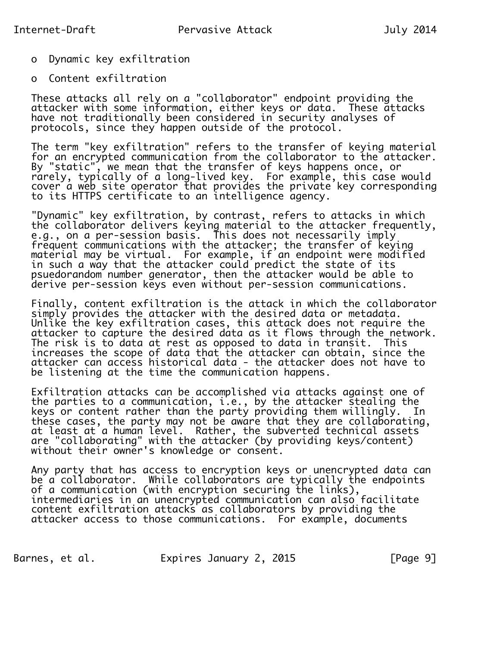- o Dynamic key exfiltration
- o Content exfiltration

 These attacks all rely on a "collaborator" endpoint providing the attacker with some information, either keys or data. These attacks have not traditionally been considered in security analyses of protocols, since they happen outside of the protocol.

 The term "key exfiltration" refers to the transfer of keying material for an encrypted communication from the collaborator to the attacker. By "static", we mean that the transfer of keys happens once, or rarely, typically of a long-lived key. For example, this case would cover a web site operator that provides the private key corresponding to its HTTPS certificate to an intelligence agency.

 "Dynamic" key exfiltration, by contrast, refers to attacks in which the collaborator delivers keying material to the attacker frequently, e.g., on a per-session basis. This does not necessarily imply frequent communications with the attacker; the transfer of keying material may be virtual. For example, if an endpoint were modified in such a way that the attacker could predict the state of its psuedorandom number generator, then the attacker would be able to derive per-session keys even without per-session communications.

 Finally, content exfiltration is the attack in which the collaborator simply provides the attacker with the desired data or metadata. Unlike the key exfiltration cases, this attack does not require the attacker to capture the desired data as it flows through the network. The risk is to data at rest as opposed to data in transit. This increases the scope of data that the attacker can obtain, since the attacker can access historical data - the attacker does not have to be listening at the time the communication happens.

 Exfiltration attacks can be accomplished via attacks against one of the parties to a communication, i.e., by the attacker stealing the keys or content rather than the party providing them willingly. In these cases, the party may not be aware that they are collaborating, at least at a human level. Rather, the subverted technical assets are "collaborating" with the attacker (by providing keys/content) without their owner's knowledge or consent.

 Any party that has access to encryption keys or unencrypted data can be a collaborator. While collaborators are typically the endpoints of a communication (with encryption securing the links), intermediaries in an unencrypted communication can also facilitate content exfiltration attacks as collaborators by providing the attacker access to those communications. For example, documents

Barnes, et al. Expires January 2, 2015 [Page 9]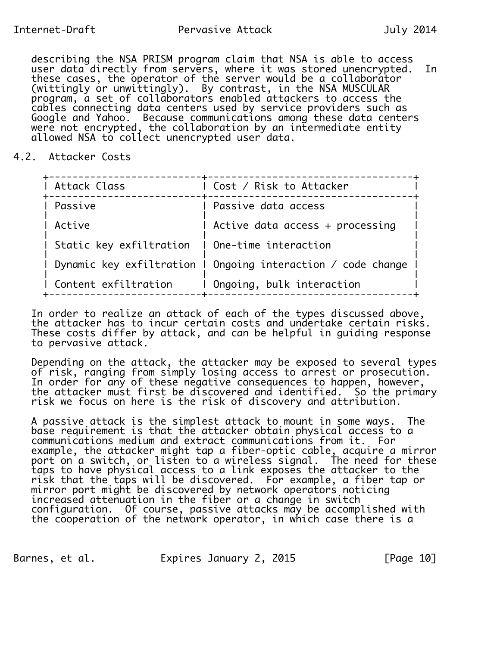describing the NSA PRISM program claim that NSA is able to access user data directly from servers, where it was stored unencrypted. In these cases, the operator of the server would be a collaborator (wittingly or unwittingly). By contrast, in the NSA MUSCULAR program, a set of collaborators enabled attackers to access the cables connecting data centers used by service providers such as Google and Yahoo. Because communications among these data centers were not encrypted, the collaboration by an intermediate entity allowed NSA to collect unencrypted user data.

### 4.2. Attacker Costs

| ∣ Cost / Risk to Attacker                                    |
|--------------------------------------------------------------|
| Passive data access                                          |
| Active data access $+$ processing                            |
| Static key exfiltration   One-time interaction               |
| Dynamic key exfiltration I Ongoing interaction / code change |
| Ongoing, bulk interaction                                    |
|                                                              |

 In order to realize an attack of each of the types discussed above, the attacker has to incur certain costs and undertake certain risks. These costs differ by attack, and can be helpful in guiding response to pervasive attack.

 Depending on the attack, the attacker may be exposed to several types of risk, ranging from simply losing access to arrest or prosecution. In order for any of these negative consequences to happen, however, the attacker must first be discovered and identified. So the primary risk we focus on here is the risk of discovery and attribution.

 A passive attack is the simplest attack to mount in some ways. The base requirement is that the attacker obtain physical access to a communications medium and extract communications from it. For example, the attacker might tap a fiber-optic cable, acquire a mirror port on a switch, or listen to a wireless signal. The need for these taps to have physical access to a link exposes the attacker to the risk that the taps will be discovered. For example, a fiber tap or mirror port might be discovered by network operators noticing increased attenuation in the fiber or a change in switch configuration. Of course, passive attacks may be accomplished with the cooperation of the network operator, in which case there is a

Barnes, et al. Expires January 2, 2015 [Page 10]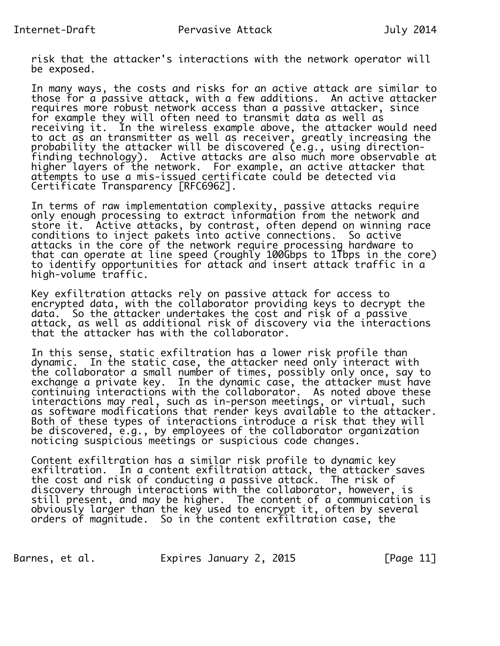risk that the attacker's interactions with the network operator will be exposed.

 In many ways, the costs and risks for an active attack are similar to those for a passive attack, with a few additions. An active attacker requires more robust network access than a passive attacker, since for example they will often need to transmit data as well as receiving it. In the wireless example above, the attacker would need to act as an transmitter as well as receiver, greatly increasing the probability the attacker will be discovered (e.g., using direction finding technology). Active attacks are also much more observable at higher layers of the network. For example, an active attacker that attempts to use a mis-issued certificate could be detected via Certificate Transparency [RFC6962].

 In terms of raw implementation complexity, passive attacks require only enough processing to extract information from the network and store it. Active attacks, by contrast, often depend on winning race conditions to inject pakets into active connections. So active attacks in the core of the network require processing hardware to that can operate at line speed (roughly 100Gbps to 1Tbps in the core) to identify opportunities for attack and insert attack traffic in a high-volume traffic.

 Key exfiltration attacks rely on passive attack for access to encrypted data, with the collaborator providing keys to decrypt the data. So the attacker undertakes the cost and risk of a passive attack, as well as additional risk of discovery via the interactions that the attacker has with the collaborator.

 In this sense, static exfiltration has a lower risk profile than dynamic. In the static case, the attacker need only interact with the collaborator a small number of times, possibly only once, say to exchange a private key. In the dynamic case, the attacker must have continuing interactions with the collaborator. As noted above these interactions may real, such as in-person meetings, or virtual, such as software modifications that render keys available to the attacker. Both of these types of interactions introduce a risk that they will be discovered, e.g., by employees of the collaborator organization noticing suspicious meetings or suspicious code changes.

 Content exfiltration has a similar risk profile to dynamic key exfiltration. In a content exfiltration attack, the attacker saves the cost and risk of conducting a passive attack. The risk of discovery through interactions with the collaborator, however, is still present, and may be higher. The content of a communication is obviously larger than the key used to encrypt it, often by several orders of magnitude. So in the content exfiltration case, the

Barnes, et al. **Expires January 2, 2015** [Page 11]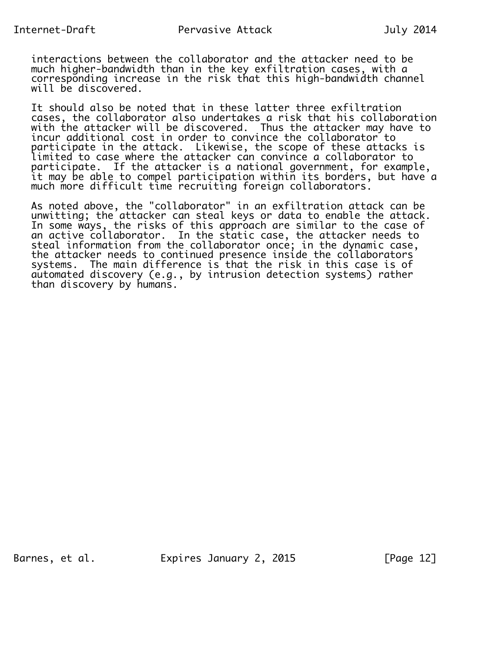interactions between the collaborator and the attacker need to be much higher-bandwidth than in the key exfiltration cases, with a corresponding increase in the risk that this high-bandwidth channel will be discovered.

 It should also be noted that in these latter three exfiltration cases, the collaborator also undertakes a risk that his collaboration with the attacker will be discovered. Thus the attacker may have to incur additional cost in order to convince the collaborator to participate in the attack. Likewise, the scope of these attacks is limited to case where the attacker can convince a collaborator to participate. If the attacker is a national government, for example, it may be able to compel participation within its borders, but have a much more difficult time recruiting foreign collaborators.

 As noted above, the "collaborator" in an exfiltration attack can be unwitting; the attacker can steal keys or data to enable the attack. In some ways, the risks of this approach are similar to the case of an active collaborator. In the static case, the attacker needs to steal information from the collaborator once; in the dynamic case, the attacker needs to continued presence inside the collaborators systems. The main difference is that the risk in this case is of automated discovery (e.g., by intrusion detection systems) rather than discovery by humans.

Barnes, et al. Expires January 2, 2015 [Page 12]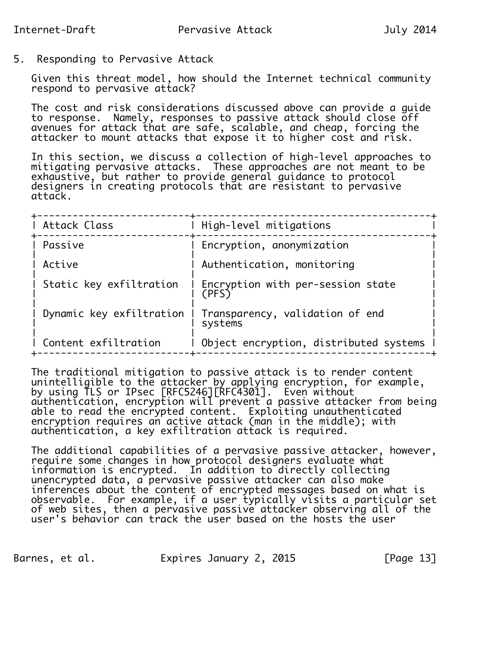## 5. Responding to Pervasive Attack

 Given this threat model, how should the Internet technical community respond to pervasive attack?

 The cost and risk considerations discussed above can provide a guide to response. Namely, responses to passive attack should close off avenues for attack that are safe, scalable, and cheap, forcing the attacker to mount attacks that expose it to higher cost and risk.

 In this section, we discuss a collection of high-level approaches to mitigating pervasive attacks. These approaches are not meant to be exhaustive, but rather to provide general guidance to protocol designers in creating protocols that are resistant to pervasive attack.

| Attack Class             | High-level mitigations                     |
|--------------------------|--------------------------------------------|
| Passive                  | Encryption, anonymization                  |
| Active                   | Authentication, monitoring                 |
| Static key exfiltration  | Encryption with per-session state<br>(PFS) |
| Dynamic key exfiltration | Transparency, validation of end<br>systems |
| Content exfiltration     | Object encryption, distributed systems     |

 The traditional mitigation to passive attack is to render content unintelligible to the attacker by applying encryption, for example, by using TLS or IPsec [RFC5246][RFC4301]. Even without  $a$ uthentication, encryption will prevent a passive attacker from being able to read the encrypted content. Exploiting unauthenticated encryption requires an active attack (man in the middle); with authentication, a key exfiltration attack is required.

 The additional capabilities of a pervasive passive attacker, however, require some changes in how protocol designers evaluate what information is encrypted. In addition to directly collecting unencrypted data, a pervasive passive attacker can also make inferences about the content of encrypted messages based on what is observable. For example, if a user typically visits a particular set of web sites, then a pervasive passive attacker observing all of the user's behavior can track the user based on the hosts the user

Barnes, et al. 
Expires January 2, 2015

FPage 131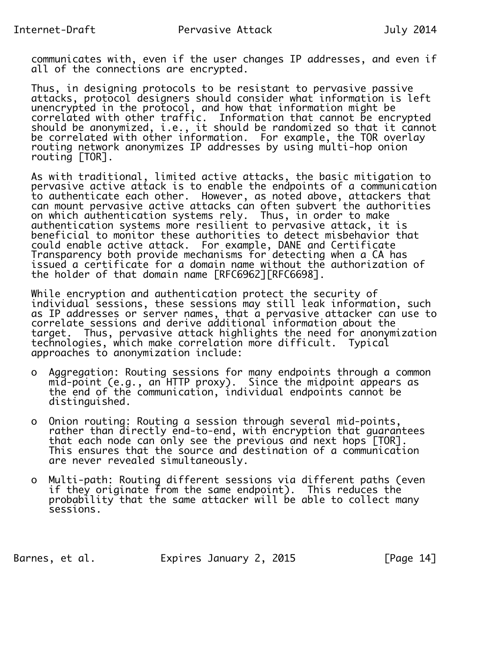communicates with, even if the user changes IP addresses, and even if all of the connections are encrypted.

 Thus, in designing protocols to be resistant to pervasive passive attacks, protocol designers should consider what information is left unencrypted in the protocol, and how that information might be correlated with other traffic. Information that cannot be encrypted should be anonymized, i.e., it should be randomized so that it cannot be correlated with other information. For example, the TOR overlay routing network anonymizes IP addresses by using multi-hop onion routing [TOR].

 As with traditional, limited active attacks, the basic mitigation to pervasive active attack is to enable the endpoints of a communication to authenticate each other. However, as noted above, attackers that can mount pervasive active attacks can often subvert the authorities on which authentication systems rely. Thus, in order to make authentication systems more resilient to pervasive attack, it is beneficial to monitor these authorities to detect misbehavior that could enable active attack. For example, DANE and Certificate Transparency both provide mechanisms for detecting when a CA has issued a certificate for a domain name without the authorization of the holder of that domain name [RFC6962][RFC6698].

 While encryption and authentication protect the security of individual sessions, these sessions may still leak information, such as IP addresses or server names, that a pervasive attacker can use to correlate sessions and derive additional information about the target. Thus, pervasive attack highlights the need for anonymization technologies, which make correlation more difficult. Typical approaches to anonymization include:

- o Aggregation: Routing sessions for many endpoints through a common mid-point (e.g., an HTTP proxy). Since the midpoint appears as the end of the communication, individual endpoints cannot be distinguished.
	- o Onion routing: Routing a session through several mid-points, rather than directly end-to-end, with encryption that guarantees that each node can only see the previous and next hops [TOR]. This ensures that the source and destination of a communication are never revealed simultaneously.
	- o Multi-path: Routing different sessions via different paths (even if they originate from the same endpoint). This reduces the probability that the same attacker will be able to collect many sessions.

Barnes, et al. Expires January 2, 2015 [Page 14]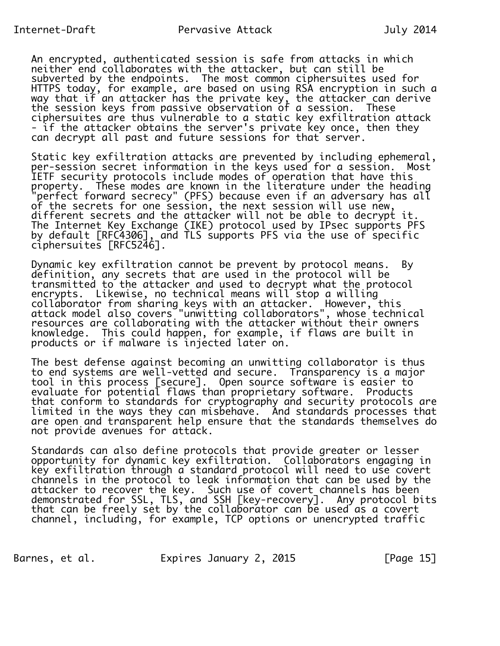An encrypted, authenticated session is safe from attacks in which neither end collaborates with the attacker, but can still be subverted by the endpoints. The most common ciphersuites used for HTTPS today, for example, are based on using RSA encryption in such a way that if an attacker has the private key, the attacker can derive the session keys from passive observation of a session. These ciphersuites are thus vulnerable to a static key exfiltration attack - if the attacker obtains the server's private key once, then they can decrypt all past and future sessions for that server.

 Static key exfiltration attacks are prevented by including ephemeral, per-session secret information in the keys used for a session. Most IETF security protocols include modes of operation that have this property. These modes are known in the literature under the heading "perfect forward secrecy" (PFS) because even if an adversary has all of the secrets for one session, the next session will use new, different secrets and the attacker will not be able to decrypt it. The Internet Key Exchange (IKE) protocol used by IPsec supports PFS by default [RFC4306], and TLS supports PFS via the use of specific ciphersuites [RFC5246].

 Dynamic key exfiltration cannot be prevent by protocol means. By definition, any secrets that are used in the protocol will be transmitted to the attacker and used to decrypt what the protocol encrypts. Likewise, no technical means will stop a willing collaborator from sharing keys with an attacker. However, this attack model also covers "unwitting collaborators", whose technical resources are collaborating with the attacker without their owners knowledge. This could happen, for example, if flaws are built in products or if malware is injected later on.

 The best defense against becoming an unwitting collaborator is thus to end systems are well-vetted and secure. Transparency is a major tool in this process [secure]. Open source software is easier to evaluate for potential flaws than proprietary software. Products that conform to standards for cryptography and security protocols are limited in the ways they can misbehave. And standards processes that are open and transparent help ensure that the standards themselves do not provide avenues for attack.

 Standards can also define protocols that provide greater or lesser opportunity for dynamic key exfiltration. Collaborators engaging in key exfiltration through a standard protocol will need to use covert channels in the protocol to leak information that can be used by the attacker to recover the key. Such use of covert channels has been demonstrated for SSL, TLS, and SSH [key-recovery]. Any protocol bits that can be freely set by the collaborator can be used as a covert channel, including, for example, TCP options or unencrypted traffic

Barnes, et al. Expires January 2, 2015 [Page 15]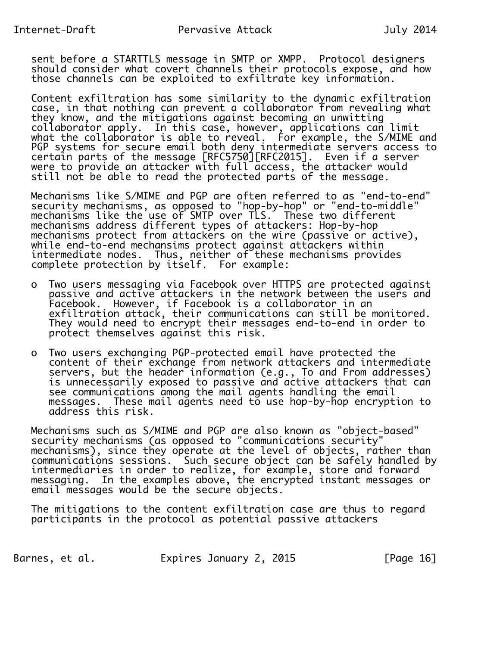sent before a STARTTLS message in SMTP or XMPP. Protocol designers should consider what covert channels their protocols expose, and how those channels can be exploited to exfiltrate key information.

 Content exfiltration has some similarity to the dynamic exfiltration case, in that nothing can prevent a collaborator from revealing what they know, and the mitigations against becoming an unwitting collaborator apply. In this case, however, applications can limit what the collaborator is able to reveal. For example, the S/MIME and PGP systems for secure email both deny intermediate servers access to certain parts of the message [RFC5750][RFC2015]. Even if a server were to provide an attacker with full access, the attacker would still not be able to read the protected parts of the message.

 Mechanisms like S/MIME and PGP are often referred to as "end-to-end" security mechanisms, as opposed to "hop-by-hop" or "end-to-middle" mechanisms like the use of SMTP over TLS. These two different mechanisms address different types of attackers: Hop-by-hop mechanisms protect from attackers on the wire (passive or active), while end-to-end mechansims protect against attackers within intermediate nodes. Thus, neither of these mechanisms provides complete protection by itself. For example:

- o Two users messaging via Facebook over HTTPS are protected against passive and active attackers in the network between the users and Facebook. However, if Facebook is a collaborator in an exfiltration attack, their communications can still be monitored. They would need to encrypt their messages end-to-end in order to protect themselves against this risk.
	- o Two users exchanging PGP-protected email have protected the content of their exchange from network attackers and intermediate servers, but the header information (e.g., To and From addresses) is unnecessarily exposed to passive and active attackers that can see communications among the mail agents handling the email messages. These mail agents need to use hop-by-hop encryption to address this risk.

 Mechanisms such as S/MIME and PGP are also known as "object-based" security mechanisms (as opposed to "communications security" mechanisms), since they operate at the level of objects, rather than communications sessions. Such secure object can be safely handled by intermediaries in order to realize, for example, store and forward messaging. In the examples above, the encrypted instant messages or email messages would be the secure objects.

 The mitigations to the content exfiltration case are thus to regard participants in the protocol as potential passive attackers

Barnes, et al. 
Expires January 2, 2015

Expires in the 2015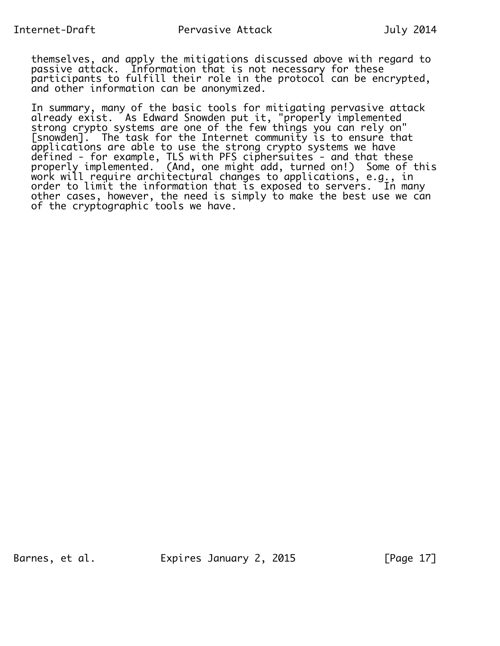themselves, and apply the mitigations discussed above with regard to passive attack. Information that is not necessary for these participants to fulfill their role in the protocol can be encrypted, and other information can be anonymized.

 In summary, many of the basic tools for mitigating pervasive attack already exist. As Edward Snowden put it, "properly implemented strong crypto systems are one of the few things you can rely on" [snowden]. The task for the Internet community is to ensure that applications are able to use the strong crypto systems we have defined - for example, TLS with PFS ciphersuites - and that these properly implemented. (And, one might add, turned on!) Some of this work will require architectural changes to applications, e.g., in order to limit the information that is exposed to servers. In many other cases, however, the need is simply to make the best use we can of the cryptographic tools we have.

Barnes, et al. Expires January 2, 2015 [Page 17]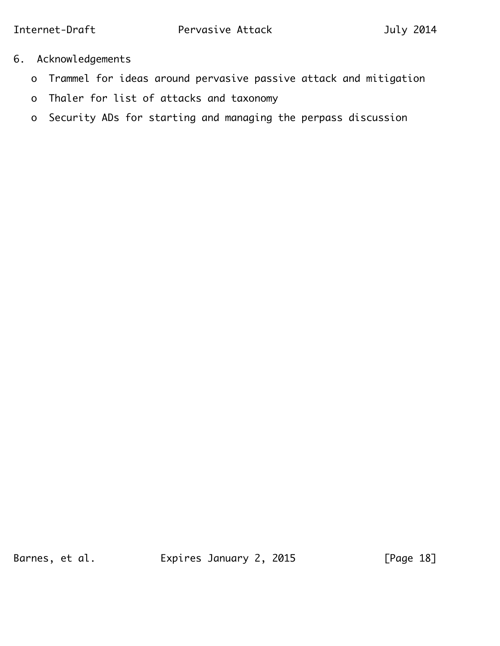- 6. Acknowledgements
	- o Trammel for ideas around pervasive passive attack and mitigation
	- o Thaler for list of attacks and taxonomy
	- o Security ADs for starting and managing the perpass discussion

Barnes, et al. **Expires January 2, 2015** [Page 18]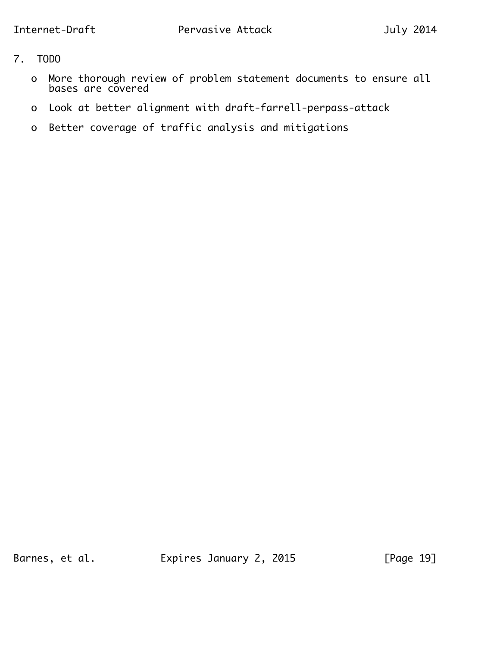- 7. TODO
- o More thorough review of problem statement documents to ensure all bases are covered
	- o Look at better alignment with draft-farrell-perpass-attack
	- o Better coverage of traffic analysis and mitigations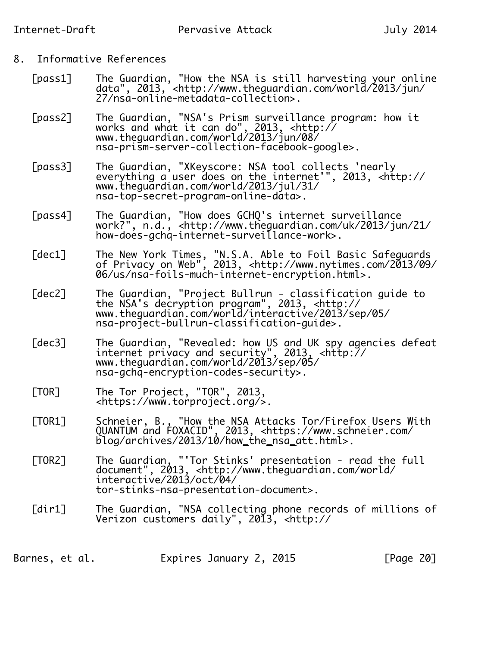# 8. Informative References

- [pass1] The Guardian, "How the NSA is still harvesting your online data", 2013, <http://www.theguardian.com/world/2013/jun/ 27/nsa-online-metadata-collection>.
- [pass2] The Guardian, "NSA's Prism surveillance program: how it works and what it can do", 2013, <http:// www.theguardian.com/world/2013/jun/08/ nsa-prism-server-collection-facebook-google>.
	- [pass3] The Guardian, "XKeyscore: NSA tool collects 'nearly everything a user does on the internet'", 2013, <http:// www.theguardian.com/world/2013/jul/31/ nsa-top-secret-program-online-data>.
- [pass4] The Guardian, "How does GCHQ's internet surveillance work?", n.d., <http://www.theguardian.com/uk/2013/jun/21/ how-does-gchq-internet-surveillance-work>.
- [dec1] The New York Times, "N.S.A. Able to Foil Basic Safeguards of Privacy on Web", 2013, <http://www.nytimes.com/2013/09/ 06/us/nsa-foils-much-internet-encryption.html>.
- [dec2] The Guardian, "Project Bullrun classification guide to the NSA's decryption program", 2013, <http:// www.theguardian.com/world/interactive/2013/sep/05/ nsa-project-bullrun-classification-guide>.
- [dec3] The Guardian, "Revealed: how US and UK spy agencies defeat internet privacy and security", 2013, <http:// www.theguardian.com/world/2013/sep/05/ nsa-gchq-encryption-codes-security>.
	- [TOR] The Tor Project, "TOR", 2013, <https://www.torproject.org/>.
- [TOR1] Schneier, B., "How the NSA Attacks Tor/Firefox Users With QUANTUM and FOXACID", 2013, <https://www.schneier.com/ blog/archives/2013/10/how\_the\_nsa\_att.html>.
- [TOR2] The Guardian, "'Tor Stinks' presentation read the full document", 2013, <http://www.theguardian.com/world/ interactive/2013/oct/04/ tor-stinks-nsa-presentation-document>.
	- [dir1] The Guardian, "NSA collecting phone records of millions of Verizon customers daily", 2013, <http://

Barnes, et al. Expires January 2, 2015 [Page 20]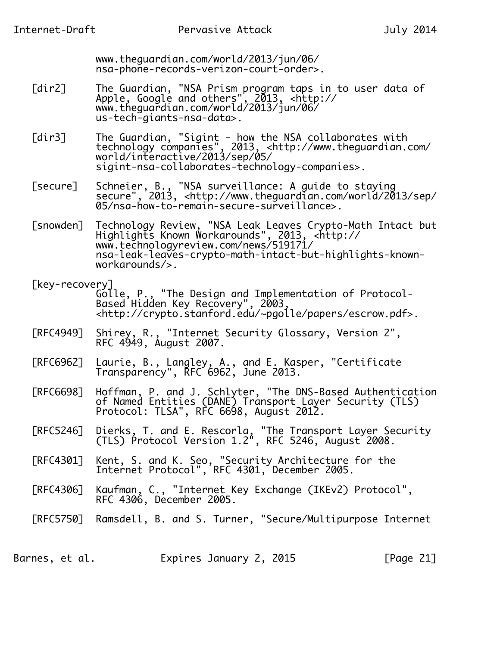www.theguardian.com/world/2013/jun/06/ nsa-phone-records-verizon-court-order>.

- [dir2] The Guardian, "NSA Prism program taps in to user data of Apple, Google and others", 2013, <http:// www.theguardian.com/world/2013/jun/06/ us-tech-giants-nsa-data>.
- [dir3] The Guardian, "Sigint how the NSA collaborates with technology companies", 2013, <http://www.theguardian.com/ world/interactive/2013/sep/05/ sigint-nsa-collaborates-technology-companies>.
- [secure] Schneier, B., "NSA surveillance: A guide to staying secure", 2013, <http://www.theguardian.com/world/2013/sep/ 05/nsa-how-to-remain-secure-surveillance>.
- [snowden] Technology Review, "NSA Leak Leaves Crypto-Math Intact but Highlights Known Workarounds", 2013, <http:// www.technologyreview.com/news/519171/ nsa-leak-leaves-crypto-math-intact-but-highlights-known workarounds/>.
- [key-recovery] Golle, P., "The Design and Implementation of Protocol- Based Hidden Key Recovery", 2003, <http://crypto.stanford.edu/~pgolle/papers/escrow.pdf>.
- [RFC4949] Shirey, R., "Internet Security Glossary, Version 2", **RFC 4949, August 2007.**
- [RFC6962] Laurie, B., Langley, A., and E. Kasper, "Certificate **Transparency", RFC 6962, June 2013.**
- [RFC6698] Hoffman, P. and J. Schlyter, "The DNS-Based Authentication of Named Entities (DANE) Transport Layer Security (TLS) Protocol: TLSA", RFC 6698, August 2012.
- [RFC5246] Dierks, T. and E. Rescorla, "The Transport Layer Security (TLS) Protocol Version 1.2", RFC 5246, August 2008.
- [RFC4301] Kent, S. and K. Seo, "Security Architecture for the Internet Protocol", RFC 4301, December 2005.
- [RFC4306] Kaufman, C., "Internet Key Exchange (IKEv2) Protocol", RFC 4306, December 2005.
	- [RFC5750] Ramsdell, B. and S. Turner, "Secure/Multipurpose Internet

Barnes, et al. Expires January 2, 2015 [Page 21]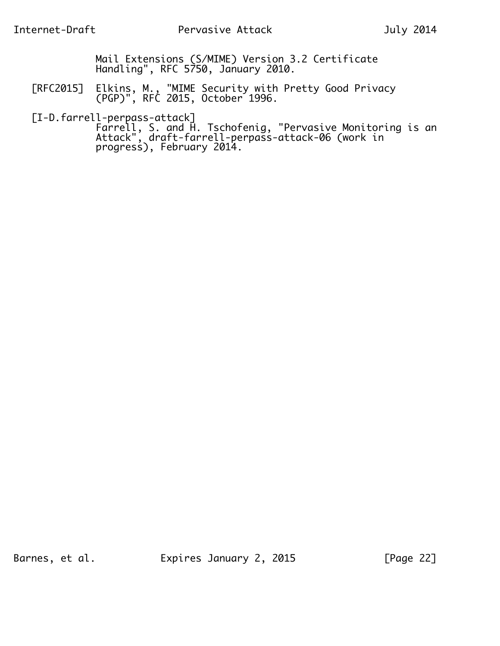Mail Extensions (S/MIME) Version 3.2 Certificate Handling", RFC 5750, January 2010.

 [RFC2015] Elkins, M., "MIME Security with Pretty Good Privacy (PGP)", RFC 2015, October 1996.

[I-D.farrell-perpass-attack]

 Farrell, S. and H. Tschofenig, "Pervasive Monitoring is an Attack", draft-farrell-perpass-attack-06 (work in progress), February 2014.